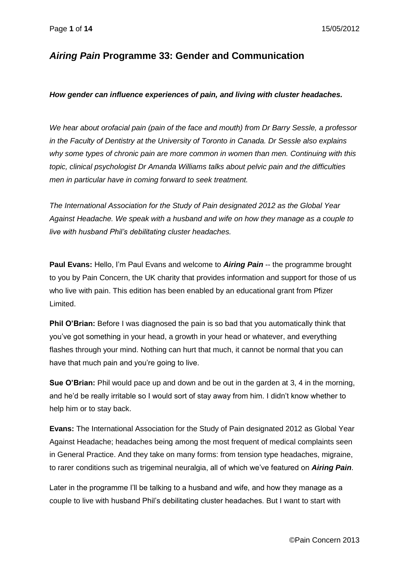# *Airing Pain* **Programme 33: Gender and Communication**

#### *How gender can influence experiences of pain, and living with cluster headaches.*

*We hear about orofacial pain (pain of the face and mouth) from Dr Barry Sessle, a professor in the Faculty of Dentistry at the University of Toronto in Canada. Dr Sessle also explains why some types of chronic pain are more common in women than men. Continuing with this topic, clinical psychologist Dr Amanda Williams talks about pelvic pain and the difficulties men in particular have in coming forward to seek treatment.*

*The International Association for the Study of Pain designated 2012 as the Global Year Against Headache. We speak with a husband and wife on how they manage as a couple to live with husband Phil's debilitating cluster headaches.*

**Paul Evans:** Hello, I'm Paul Evans and welcome to *Airing Pain* -- the programme brought to you by Pain Concern, the UK charity that provides information and support for those of us who live with pain. This edition has been enabled by an educational grant from Pfizer Limited.

**Phil O'Brian:** Before I was diagnosed the pain is so bad that you automatically think that you've got something in your head, a growth in your head or whatever, and everything flashes through your mind. Nothing can hurt that much, it cannot be normal that you can have that much pain and you're going to live.

**Sue O'Brian:** Phil would pace up and down and be out in the garden at 3, 4 in the morning, and he'd be really irritable so I would sort of stay away from him. I didn't know whether to help him or to stay back.

**Evans:** The International Association for the Study of Pain designated 2012 as Global Year Against Headache; headaches being among the most frequent of medical complaints seen in General Practice. And they take on many forms: from tension type headaches, migraine, to rarer conditions such as trigeminal neuralgia, all of which we've featured on *Airing Pain*.

Later in the programme I'll be talking to a husband and wife, and how they manage as a couple to live with husband Phil's debilitating cluster headaches. But I want to start with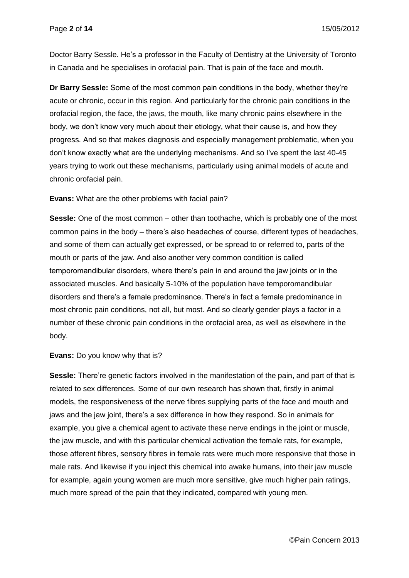Doctor Barry Sessle. He's a professor in the Faculty of Dentistry at the University of Toronto in Canada and he specialises in orofacial pain. That is pain of the face and mouth.

**Dr Barry Sessle:** Some of the most common pain conditions in the body, whether they're acute or chronic, occur in this region. And particularly for the chronic pain conditions in the orofacial region, the face, the jaws, the mouth, like many chronic pains elsewhere in the body, we don't know very much about their etiology, what their cause is, and how they progress. And so that makes diagnosis and especially management problematic, when you don't know exactly what are the underlying mechanisms. And so I've spent the last 40-45 years trying to work out these mechanisms, particularly using animal models of acute and chronic orofacial pain.

**Evans:** What are the other problems with facial pain?

**Sessle:** One of the most common – other than toothache, which is probably one of the most common pains in the body – there's also headaches of course, different types of headaches, and some of them can actually get expressed, or be spread to or referred to, parts of the mouth or parts of the jaw. And also another very common condition is called temporomandibular disorders, where there's pain in and around the jaw joints or in the associated muscles. And basically 5-10% of the population have temporomandibular disorders and there's a female predominance. There's in fact a female predominance in most chronic pain conditions, not all, but most. And so clearly gender plays a factor in a number of these chronic pain conditions in the orofacial area, as well as elsewhere in the body.

**Evans:** Do you know why that is?

**Sessle:** There're genetic factors involved in the manifestation of the pain, and part of that is related to sex differences. Some of our own research has shown that, firstly in animal models, the responsiveness of the nerve fibres supplying parts of the face and mouth and jaws and the jaw joint, there's a sex difference in how they respond. So in animals for example, you give a chemical agent to activate these nerve endings in the joint or muscle, the jaw muscle, and with this particular chemical activation the female rats, for example, those afferent fibres, sensory fibres in female rats were much more responsive that those in male rats. And likewise if you inject this chemical into awake humans, into their jaw muscle for example, again young women are much more sensitive, give much higher pain ratings, much more spread of the pain that they indicated, compared with young men.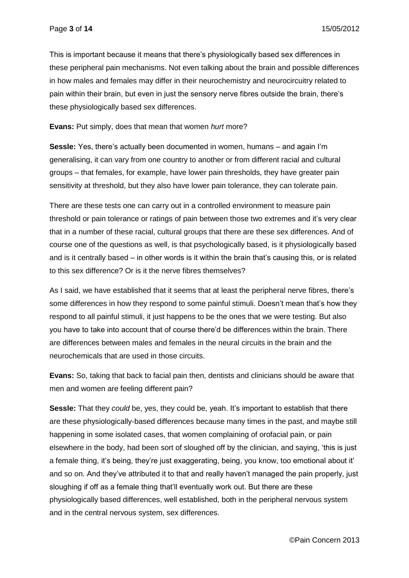This is important because it means that there's physiologically based sex differences in these peripheral pain mechanisms. Not even talking about the brain and possible differences in how males and females may differ in their neurochemistry and neurocircuitry related to pain within their brain, but even in just the sensory nerve fibres outside the brain, there's these physiologically based sex differences.

**Evans:** Put simply, does that mean that women *hurt* more?

**Sessle:** Yes, there's actually been documented in women, humans – and again I'm generalising, it can vary from one country to another or from different racial and cultural groups – that females, for example, have lower pain thresholds, they have greater pain sensitivity at threshold, but they also have lower pain tolerance, they can tolerate pain.

There are these tests one can carry out in a controlled environment to measure pain threshold or pain tolerance or ratings of pain between those two extremes and it's very clear that in a number of these racial, cultural groups that there are these sex differences. And of course one of the questions as well, is that psychologically based, is it physiologically based and is it centrally based – in other words is it within the brain that's causing this, or is related to this sex difference? Or is it the nerve fibres themselves?

As I said, we have established that it seems that at least the peripheral nerve fibres, there's some differences in how they respond to some painful stimuli. Doesn't mean that's how they respond to all painful stimuli, it just happens to be the ones that we were testing. But also you have to take into account that of course there'd be differences within the brain. There are differences between males and females in the neural circuits in the brain and the neurochemicals that are used in those circuits.

**Evans:** So, taking that back to facial pain then, dentists and clinicians should be aware that men and women are feeling different pain?

**Sessle:** That they *could* be, yes, they could be, yeah. It's important to establish that there are these physiologically-based differences because many times in the past, and maybe still happening in some isolated cases, that women complaining of orofacial pain, or pain elsewhere in the body, had been sort of sloughed off by the clinician, and saying, 'this is just a female thing, it's being, they're just exaggerating, being, you know, too emotional about it' and so on. And they've attributed it to that and really haven't managed the pain properly, just sloughing if off as a female thing that'll eventually work out. But there are these physiologically based differences, well established, both in the peripheral nervous system and in the central nervous system, sex differences.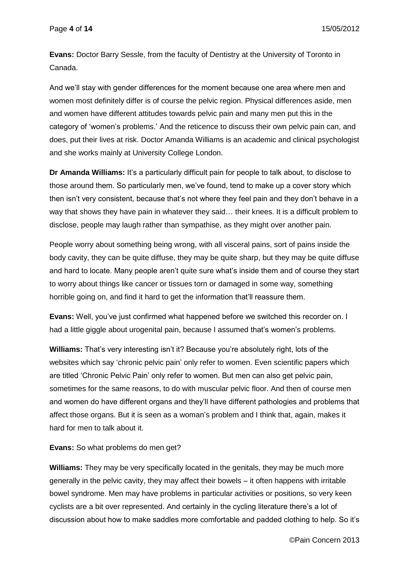**Evans:** Doctor Barry Sessle, from the faculty of Dentistry at the University of Toronto in Canada.

And we'll stay with gender differences for the moment because one area where men and women most definitely differ is of course the pelvic region. Physical differences aside, men and women have different attitudes towards pelvic pain and many men put this in the category of 'women's problems.' And the reticence to discuss their own pelvic pain can, and does, put their lives at risk. Doctor Amanda Williams is an academic and clinical psychologist and she works mainly at University College London.

**Dr Amanda Williams:** It's a particularly difficult pain for people to talk about, to disclose to those around them. So particularly men, we've found, tend to make up a cover story which then isn't very consistent, because that's not where they feel pain and they don't behave in a way that shows they have pain in whatever they said… their knees. It is a difficult problem to disclose, people may laugh rather than sympathise, as they might over another pain.

People worry about something being wrong, with all visceral pains, sort of pains inside the body cavity, they can be quite diffuse, they may be quite sharp, but they may be quite diffuse and hard to locate. Many people aren't quite sure what's inside them and of course they start to worry about things like cancer or tissues torn or damaged in some way, something horrible going on, and find it hard to get the information that'll reassure them.

**Evans:** Well, you've just confirmed what happened before we switched this recorder on. I had a little giggle about urogenital pain, because I assumed that's women's problems.

**Williams:** That's very interesting isn't it? Because you're absolutely right, lots of the websites which say 'chronic pelvic pain' only refer to women. Even scientific papers which are titled 'Chronic Pelvic Pain' only refer to women. But men can also get pelvic pain, sometimes for the same reasons, to do with muscular pelvic floor. And then of course men and women do have different organs and they'll have different pathologies and problems that affect those organs. But it is seen as a woman's problem and I think that, again, makes it hard for men to talk about it.

**Evans:** So what problems do men get?

**Williams:** They may be very specifically located in the genitals, they may be much more generally in the pelvic cavity, they may affect their bowels – it often happens with irritable bowel syndrome. Men may have problems in particular activities or positions, so very keen cyclists are a bit over represented. And certainly in the cycling literature there's a lot of discussion about how to make saddles more comfortable and padded clothing to help. So it's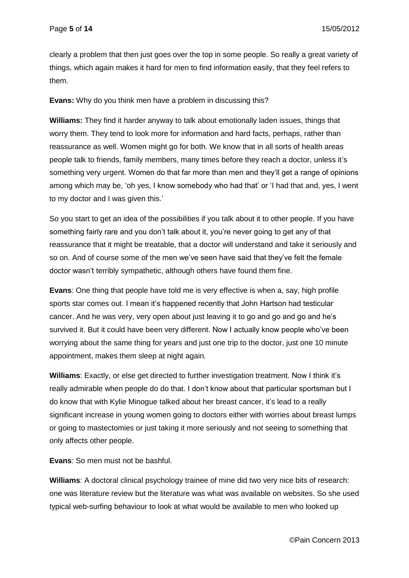clearly a problem that then just goes over the top in some people. So really a great variety of things, which again makes it hard for men to find information easily, that they feel refers to them.

**Evans:** Why do you think men have a problem in discussing this?

**Williams:** They find it harder anyway to talk about emotionally laden issues, things that worry them. They tend to look more for information and hard facts, perhaps, rather than reassurance as well. Women might go for both. We know that in all sorts of health areas people talk to friends, family members, many times before they reach a doctor, unless it's something very urgent. Women do that far more than men and they'll get a range of opinions among which may be, 'oh yes, I know somebody who had that' or 'I had that and, yes, I went to my doctor and I was given this.'

So you start to get an idea of the possibilities if you talk about it to other people. If you have something fairly rare and you don't talk about it, you're never going to get any of that reassurance that it might be treatable, that a doctor will understand and take it seriously and so on. And of course some of the men we've seen have said that they've felt the female doctor wasn't terribly sympathetic, although others have found them fine.

**Evans**: One thing that people have told me is very effective is when a, say, high profile sports star comes out. I mean it's happened recently that John Hartson had testicular cancer. And he was very, very open about just leaving it to go and go and go and he's survived it. But it could have been very different. Now I actually know people who've been worrying about the same thing for years and just one trip to the doctor, just one 10 minute appointment, makes them sleep at night again.

**Williams**: Exactly, or else get directed to further investigation treatment. Now I think it's really admirable when people do do that. I don't know about that particular sportsman but I do know that with Kylie Minogue talked about her breast cancer, it's lead to a really significant increase in young women going to doctors either with worries about breast lumps or going to mastectomies or just taking it more seriously and not seeing to something that only affects other people.

**Evans**: So men must not be bashful.

**Williams**: A doctoral clinical psychology trainee of mine did two very nice bits of research: one was literature review but the literature was what was available on websites. So she used typical web-surfing behaviour to look at what would be available to men who looked up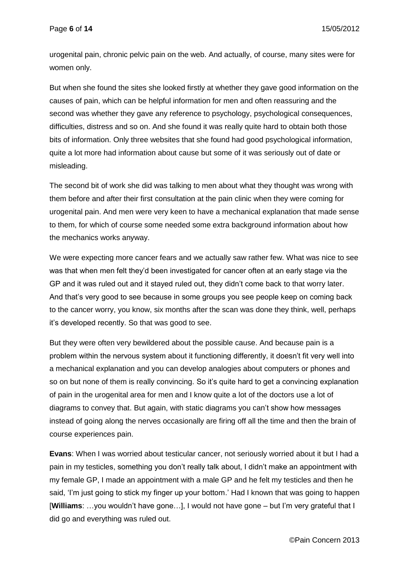urogenital pain, chronic pelvic pain on the web. And actually, of course, many sites were for women only.

But when she found the sites she looked firstly at whether they gave good information on the causes of pain, which can be helpful information for men and often reassuring and the second was whether they gave any reference to psychology, psychological consequences, difficulties, distress and so on. And she found it was really quite hard to obtain both those bits of information. Only three websites that she found had good psychological information, quite a lot more had information about cause but some of it was seriously out of date or misleading.

The second bit of work she did was talking to men about what they thought was wrong with them before and after their first consultation at the pain clinic when they were coming for urogenital pain. And men were very keen to have a mechanical explanation that made sense to them, for which of course some needed some extra background information about how the mechanics works anyway.

We were expecting more cancer fears and we actually saw rather few. What was nice to see was that when men felt they'd been investigated for cancer often at an early stage via the GP and it was ruled out and it stayed ruled out, they didn't come back to that worry later. And that's very good to see because in some groups you see people keep on coming back to the cancer worry, you know, six months after the scan was done they think, well, perhaps it's developed recently. So that was good to see.

But they were often very bewildered about the possible cause. And because pain is a problem within the nervous system about it functioning differently, it doesn't fit very well into a mechanical explanation and you can develop analogies about computers or phones and so on but none of them is really convincing. So it's quite hard to get a convincing explanation of pain in the urogenital area for men and I know quite a lot of the doctors use a lot of diagrams to convey that. But again, with static diagrams you can't show how messages instead of going along the nerves occasionally are firing off all the time and then the brain of course experiences pain.

**Evans**: When I was worried about testicular cancer, not seriously worried about it but I had a pain in my testicles, something you don't really talk about, I didn't make an appointment with my female GP, I made an appointment with a male GP and he felt my testicles and then he said, 'I'm just going to stick my finger up your bottom.' Had I known that was going to happen [**Williams**: …you wouldn't have gone…], I would not have gone – but I'm very grateful that I did go and everything was ruled out.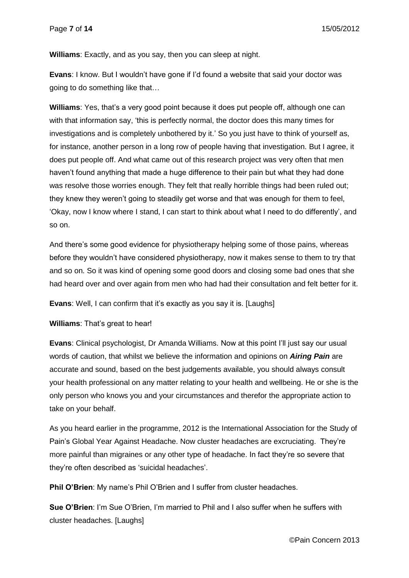**Williams**: Exactly, and as you say, then you can sleep at night.

**Evans**: I know. But I wouldn't have gone if I'd found a website that said your doctor was going to do something like that…

**Williams**: Yes, that's a very good point because it does put people off, although one can with that information say, 'this is perfectly normal, the doctor does this many times for investigations and is completely unbothered by it.' So you just have to think of yourself as, for instance, another person in a long row of people having that investigation. But I agree, it does put people off. And what came out of this research project was very often that men haven't found anything that made a huge difference to their pain but what they had done was resolve those worries enough. They felt that really horrible things had been ruled out; they knew they weren't going to steadily get worse and that was enough for them to feel, 'Okay, now I know where I stand, I can start to think about what I need to do differently', and so on.

And there's some good evidence for physiotherapy helping some of those pains, whereas before they wouldn't have considered physiotherapy, now it makes sense to them to try that and so on. So it was kind of opening some good doors and closing some bad ones that she had heard over and over again from men who had had their consultation and felt better for it.

**Evans**: Well, I can confirm that it's exactly as you say it is. [Laughs]

**Williams**: That's great to hear!

**Evans**: Clinical psychologist, Dr Amanda Williams. Now at this point I'll just say our usual words of caution, that whilst we believe the information and opinions on *Airing Pain* are accurate and sound, based on the best judgements available, you should always consult your health professional on any matter relating to your health and wellbeing. He or she is the only person who knows you and your circumstances and therefor the appropriate action to take on your behalf.

As you heard earlier in the programme, 2012 is the International Association for the Study of Pain's Global Year Against Headache. Now cluster headaches are excruciating. They're more painful than migraines or any other type of headache. In fact they're so severe that they're often described as 'suicidal headaches'.

**Phil O'Brien:** My name's Phil O'Brien and I suffer from cluster headaches.

**Sue O'Brien**: I'm Sue O'Brien, I'm married to Phil and I also suffer when he suffers with cluster headaches. [Laughs]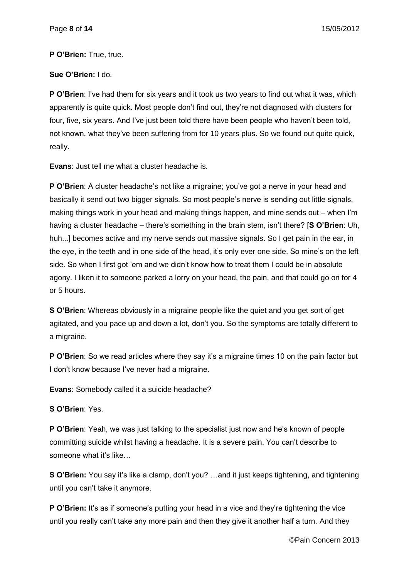### **P O'Brien:** True, true.

## **Sue O'Brien:** I do.

**P O'Brien**: I've had them for six years and it took us two years to find out what it was, which apparently is quite quick. Most people don't find out, they're not diagnosed with clusters for four, five, six years. And I've just been told there have been people who haven't been told, not known, what they've been suffering from for 10 years plus. So we found out quite quick, really.

**Evans**: Just tell me what a cluster headache is.

**P O'Brien**: A cluster headache's not like a migraine; you've got a nerve in your head and basically it send out two bigger signals. So most people's nerve is sending out little signals, making things work in your head and making things happen, and mine sends out – when I'm having a cluster headache – there's something in the brain stem, isn't there? [**S O'Brien**: Uh, huh...] becomes active and my nerve sends out massive signals. So I get pain in the ear, in the eye, in the teeth and in one side of the head, it's only ever one side. So mine's on the left side. So when I first got 'em and we didn't know how to treat them I could be in absolute agony. I liken it to someone parked a lorry on your head, the pain, and that could go on for 4 or 5 hours.

**S O'Brien**: Whereas obviously in a migraine people like the quiet and you get sort of get agitated, and you pace up and down a lot, don't you. So the symptoms are totally different to a migraine.

**P O'Brien:** So we read articles where they say it's a migraine times 10 on the pain factor but I don't know because I've never had a migraine.

**Evans**: Somebody called it a suicide headache?

**S O'Brien**: Yes.

**P O'Brien**: Yeah, we was just talking to the specialist just now and he's known of people committing suicide whilst having a headache. It is a severe pain. You can't describe to someone what it's like...

**S O'Brien:** You say it's like a clamp, don't you? …and it just keeps tightening, and tightening until you can't take it anymore.

**P O'Brien:** It's as if someone's putting your head in a vice and they're tightening the vice until you really can't take any more pain and then they give it another half a turn. And they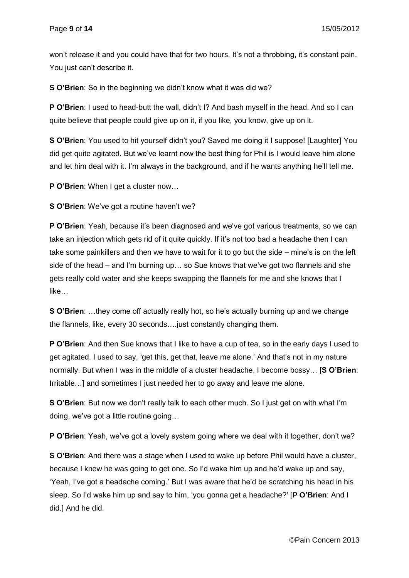won't release it and you could have that for two hours. It's not a throbbing, it's constant pain. You just can't describe it.

**S O'Brien**: So in the beginning we didn't know what it was did we?

**P O'Brien**: I used to head-butt the wall, didn't I? And bash myself in the head. And so I can quite believe that people could give up on it, if you like, you know, give up on it.

**S O'Brien:** You used to hit yourself didn't you? Saved me doing it I suppose! [Laughter] You did get quite agitated. But we've learnt now the best thing for Phil is I would leave him alone and let him deal with it. I'm always in the background, and if he wants anything he'll tell me.

**P O'Brien**: When I get a cluster now…

**S O'Brien**: We've got a routine haven't we?

**P O'Brien**: Yeah, because it's been diagnosed and we've got various treatments, so we can take an injection which gets rid of it quite quickly. If it's not too bad a headache then I can take some painkillers and then we have to wait for it to go but the side – mine's is on the left side of the head – and I'm burning up… so Sue knows that we've got two flannels and she gets really cold water and she keeps swapping the flannels for me and she knows that I like…

**S O'Brien**: …they come off actually really hot, so he's actually burning up and we change the flannels, like, every 30 seconds….just constantly changing them.

**P O'Brien**: And then Sue knows that I like to have a cup of tea, so in the early days I used to get agitated. I used to say, 'get this, get that, leave me alone.' And that's not in my nature normally. But when I was in the middle of a cluster headache, I become bossy… [**S O'Brien**: Irritable…] and sometimes I just needed her to go away and leave me alone.

**S O'Brien**: But now we don't really talk to each other much. So I just get on with what I'm doing, we've got a little routine going…

**P O'Brien**: Yeah, we've got a lovely system going where we deal with it together, don't we?

**S O'Brien**: And there was a stage when I used to wake up before Phil would have a cluster, because I knew he was going to get one. So I'd wake him up and he'd wake up and say, 'Yeah, I've got a headache coming.' But I was aware that he'd be scratching his head in his sleep. So I'd wake him up and say to him, 'you gonna get a headache?' [**P O'Brien**: And I did.] And he did.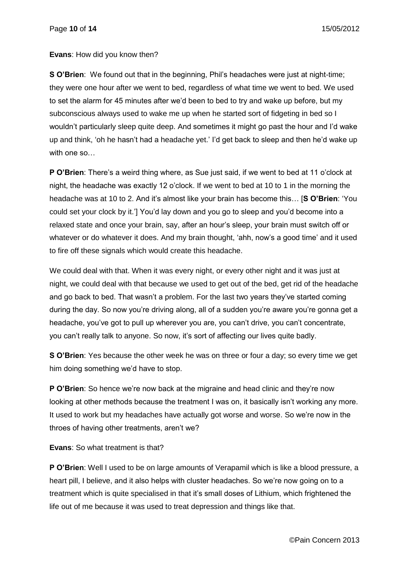**Evans**: How did you know then?

**S O'Brien**: We found out that in the beginning, Phil's headaches were just at night-time; they were one hour after we went to bed, regardless of what time we went to bed. We used to set the alarm for 45 minutes after we'd been to bed to try and wake up before, but my subconscious always used to wake me up when he started sort of fidgeting in bed so I wouldn't particularly sleep quite deep. And sometimes it might go past the hour and I'd wake up and think, 'oh he hasn't had a headache yet.' I'd get back to sleep and then he'd wake up with one so

**P O'Brien**: There's a weird thing where, as Sue just said, if we went to bed at 11 o'clock at night, the headache was exactly 12 o'clock. If we went to bed at 10 to 1 in the morning the headache was at 10 to 2. And it's almost like your brain has become this… [**S O'Brien**: 'You could set your clock by it.'] You'd lay down and you go to sleep and you'd become into a relaxed state and once your brain, say, after an hour's sleep, your brain must switch off or whatever or do whatever it does. And my brain thought, 'ahh, now's a good time' and it used to fire off these signals which would create this headache.

We could deal with that. When it was every night, or every other night and it was just at night, we could deal with that because we used to get out of the bed, get rid of the headache and go back to bed. That wasn't a problem. For the last two years they've started coming during the day. So now you're driving along, all of a sudden you're aware you're gonna get a headache, you've got to pull up wherever you are, you can't drive, you can't concentrate, you can't really talk to anyone. So now, it's sort of affecting our lives quite badly.

**S O'Brien**: Yes because the other week he was on three or four a day; so every time we get him doing something we'd have to stop.

**P O'Brien**: So hence we're now back at the migraine and head clinic and they're now looking at other methods because the treatment I was on, it basically isn't working any more. It used to work but my headaches have actually got worse and worse. So we're now in the throes of having other treatments, aren't we?

**Evans**: So what treatment is that?

**P O'Brien:** Well I used to be on large amounts of Verapamil which is like a blood pressure, a heart pill, I believe, and it also helps with cluster headaches. So we're now going on to a treatment which is quite specialised in that it's small doses of Lithium, which frightened the life out of me because it was used to treat depression and things like that.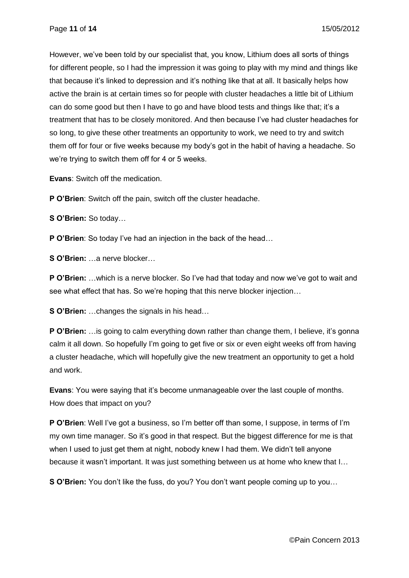However, we've been told by our specialist that, you know, Lithium does all sorts of things for different people, so I had the impression it was going to play with my mind and things like that because it's linked to depression and it's nothing like that at all. It basically helps how active the brain is at certain times so for people with cluster headaches a little bit of Lithium can do some good but then I have to go and have blood tests and things like that; it's a treatment that has to be closely monitored. And then because I've had cluster headaches for so long, to give these other treatments an opportunity to work, we need to try and switch them off for four or five weeks because my body's got in the habit of having a headache. So we're trying to switch them off for 4 or 5 weeks.

**Evans**: Switch off the medication.

**P O'Brien**: Switch off the pain, switch off the cluster headache.

**S O'Brien:** So today…

**P O'Brien**: So today I've had an injection in the back of the head…

**S O'Brien:** …a nerve blocker…

**P O'Brien:** …which is a nerve blocker. So I've had that today and now we've got to wait and see what effect that has. So we're hoping that this nerve blocker injection…

**S O'Brien:** …changes the signals in his head…

**P O'Brien:** …is going to calm everything down rather than change them, I believe, it's gonna calm it all down. So hopefully I'm going to get five or six or even eight weeks off from having a cluster headache, which will hopefully give the new treatment an opportunity to get a hold and work.

**Evans**: You were saying that it's become unmanageable over the last couple of months. How does that impact on you?

**P O'Brien**: Well I've got a business, so I'm better off than some, I suppose, in terms of I'm my own time manager. So it's good in that respect. But the biggest difference for me is that when I used to just get them at night, nobody knew I had them. We didn't tell anyone because it wasn't important. It was just something between us at home who knew that I…

**S O'Brien:** You don't like the fuss, do you? You don't want people coming up to you…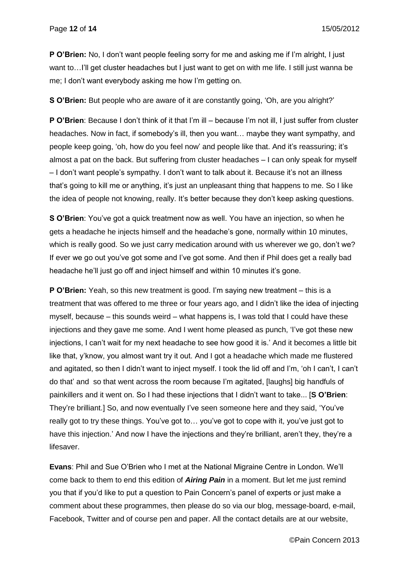**P O'Brien:** No, I don't want people feeling sorry for me and asking me if I'm alright, I just want to…I'll get cluster headaches but I just want to get on with me life. I still just wanna be me; I don't want everybody asking me how I'm getting on.

**S O'Brien:** But people who are aware of it are constantly going, 'Oh, are you alright?'

**P O'Brien**: Because I don't think of it that I'm ill – because I'm not ill, I just suffer from cluster headaches. Now in fact, if somebody's ill, then you want… maybe they want sympathy, and people keep going, 'oh, how do you feel now' and people like that. And it's reassuring; it's almost a pat on the back. But suffering from cluster headaches – I can only speak for myself – I don't want people's sympathy. I don't want to talk about it. Because it's not an illness that's going to kill me or anything, it's just an unpleasant thing that happens to me. So I like the idea of people not knowing, really. It's better because they don't keep asking questions.

**S O'Brien**: You've got a quick treatment now as well. You have an injection, so when he gets a headache he injects himself and the headache's gone, normally within 10 minutes, which is really good. So we just carry medication around with us wherever we go, don't we? If ever we go out you've got some and I've got some. And then if Phil does get a really bad headache he'll just go off and inject himself and within 10 minutes it's gone.

**P O'Brien:** Yeah, so this new treatment is good. I'm saying new treatment – this is a treatment that was offered to me three or four years ago, and I didn't like the idea of injecting myself, because – this sounds weird – what happens is, I was told that I could have these injections and they gave me some. And I went home pleased as punch, 'I've got these new injections, I can't wait for my next headache to see how good it is.' And it becomes a little bit like that, y'know, you almost want try it out. And I got a headache which made me flustered and agitated, so then I didn't want to inject myself. I took the lid off and I'm, 'oh I can't, I can't do that' and so that went across the room because I'm agitated, [laughs] big handfuls of painkillers and it went on. So I had these injections that I didn't want to take... [**S O'Brien**: They're brilliant.] So, and now eventually I've seen someone here and they said, 'You've really got to try these things. You've got to… you've got to cope with it, you've just got to have this injection.' And now I have the injections and they're brilliant, aren't they, they're a lifesaver.

**Evans**: Phil and Sue O'Brien who I met at the National Migraine Centre in London. We'll come back to them to end this edition of *Airing Pain* in a moment. But let me just remind you that if you'd like to put a question to Pain Concern's panel of experts or just make a comment about these programmes, then please do so via our blog, message-board, e-mail, Facebook, Twitter and of course pen and paper. All the contact details are at our website,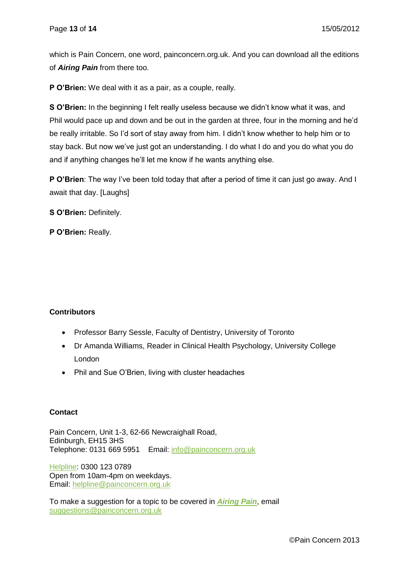which is Pain Concern, one word, painconcern.org.uk. And you can download all the editions of *Airing Pain* from there too.

**P O'Brien:** We deal with it as a pair, as a couple, really.

**S O'Brien:** In the beginning I felt really useless because we didn't know what it was, and Phil would pace up and down and be out in the garden at three, four in the morning and he'd be really irritable. So I'd sort of stay away from him. I didn't know whether to help him or to stay back. But now we've just got an understanding. I do what I do and you do what you do and if anything changes he'll let me know if he wants anything else.

**P O'Brien**: The way I've been told today that after a period of time it can just go away. And I await that day. [Laughs]

**S O'Brien:** Definitely.

**P O'Brien:** Really.

## **Contributors**

- Professor Barry Sessle, Faculty of Dentistry, University of Toronto
- Dr Amanda Williams, Reader in Clinical Health Psychology, University College London
- Phil and Sue O'Brien, living with cluster headaches

### **Contact**

Pain Concern, Unit 1-3, 62-66 Newcraighall Road, Edinburgh, EH15 3HS Telephone: 0131 669 5951 Email: [info@painconcern.org.uk](mailto:info@painconcern.org.uk)

[Helpline:](http://painconcern.org.uk/?page_id=218) 0300 123 0789 Open from 10am-4pm on weekdays. Email: [helpline@painconcern.org.uk](mailto:helpline@painconcern.org.uk)

To make a suggestion for a topic to be covered in *[Airing Pain](http://painconcern.org.uk/?page_id=229)*, email [suggestions@painconcern.org.uk](mailto:suggestions@painconcern.org.uk)